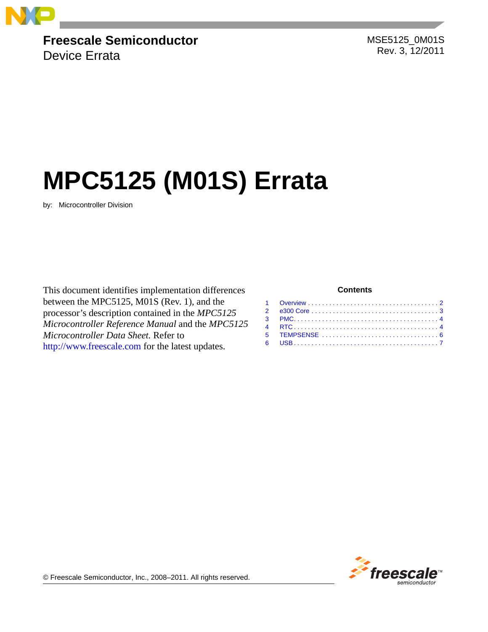

## **Freescale Semiconductor**

Device Errata

 MSE5125\_0M01S Rev. 3, 12/2011

# **MPC5125 (M01S) Errata**

by: Microcontroller Division

This document identifies implementation differences between the MPC5125, M01S (Rev. 1), and the processor's description contained in the *MPC5125 Microcontroller Reference Manual* and the *MPC5125 Microcontroller Data Sheet.* Refer to [http://www.freescale.com](http://www.freescale.com/coldfire) for the latest updates.

#### **Contents**



© Freescale Semiconductor, Inc., 2008–2011. All rights reserved.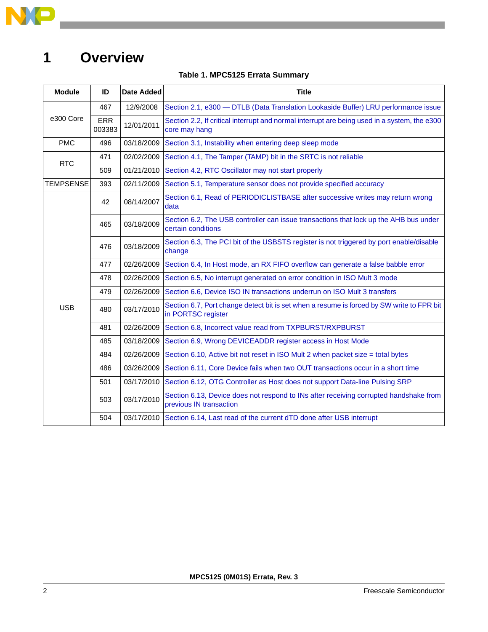

## <span id="page-1-0"></span>**1 Overview**

#### **Table 1. MPC5125 Errata Summary**

| <b>Module</b> | ID            | <b>Date Added</b> | <b>Title</b>                                                                                                     |
|---------------|---------------|-------------------|------------------------------------------------------------------------------------------------------------------|
|               | 467           | 12/9/2008         | Section 2.1, e300 - DTLB (Data Translation Lookaside Buffer) LRU performance issue                               |
| e300 Core     | ERR<br>003383 | 12/01/2011        | Section 2.2, If critical interrupt and normal interrupt are being used in a system, the e300<br>core may hang    |
| <b>PMC</b>    | 496           | 03/18/2009        | Section 3.1, Instability when entering deep sleep mode                                                           |
| <b>RTC</b>    | 471           | 02/02/2009        | Section 4.1, The Tamper (TAMP) bit in the SRTC is not reliable                                                   |
|               | 509           | 01/21/2010        | Section 4.2, RTC Oscillator may not start properly                                                               |
| TEMPSENSE     | 393           | 02/11/2009        | Section 5.1, Temperature sensor does not provide specified accuracy                                              |
|               | 42            | 08/14/2007        | Section 6.1, Read of PERIODICLISTBASE after successive writes may return wrong<br>data                           |
|               | 465           | 03/18/2009        | Section 6.2, The USB controller can issue transactions that lock up the AHB bus under<br>certain conditions      |
|               | 476           | 03/18/2009        | Section 6.3, The PCI bit of the USBSTS register is not triggered by port enable/disable<br>change                |
|               | 477           | 02/26/2009        | Section 6.4, In Host mode, an RX FIFO overflow can generate a false babble error                                 |
|               | 478           | 02/26/2009        | Section 6.5, No interrupt generated on error condition in ISO Mult 3 mode                                        |
|               | 479           | 02/26/2009        | Section 6.6, Device ISO IN transactions underrun on ISO Mult 3 transfers                                         |
| <b>USB</b>    | 480           | 03/17/2010        | Section 6.7, Port change detect bit is set when a resume is forced by SW write to FPR bit<br>in PORTSC register  |
|               | 481           | 02/26/2009        | Section 6.8, Incorrect value read from TXPBURST/RXPBURST                                                         |
|               | 485           | 03/18/2009        | Section 6.9, Wrong DEVICEADDR register access in Host Mode                                                       |
|               | 484           | 02/26/2009        | Section 6.10, Active bit not reset in ISO Mult 2 when packet size = total bytes                                  |
|               | 486           | 03/26/2009        | Section 6.11, Core Device fails when two OUT transactions occur in a short time                                  |
|               | 501           | 03/17/2010        | Section 6.12, OTG Controller as Host does not support Data-line Pulsing SRP                                      |
|               | 503           | 03/17/2010        | Section 6.13, Device does not respond to INs after receiving corrupted handshake from<br>previous IN transaction |
|               | 504           | 03/17/2010        | Section 6.14, Last read of the current dTD done after USB interrupt                                              |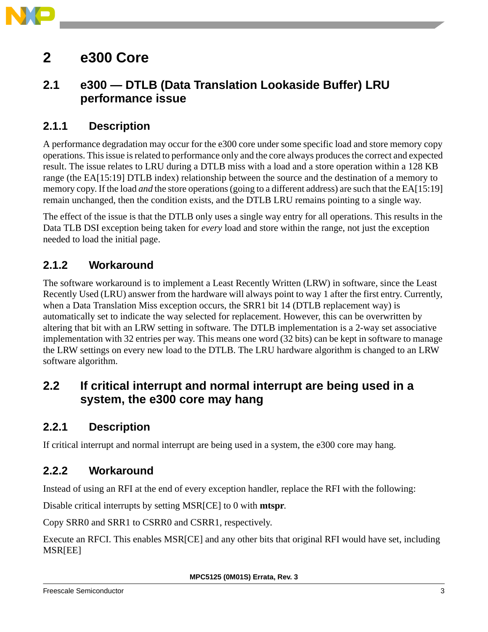

## <span id="page-2-0"></span>**2 e300 Core**

### <span id="page-2-1"></span>**2.1 e300 — DTLB (Data Translation Lookaside Buffer) LRU performance issue**

#### **2.1.1 Description**

A performance degradation may occur for the e300 core under some specific load and store memory copy operations. This issue is related to performance only and the core always produces the correct and expected result. The issue relates to LRU during a DTLB miss with a load and a store operation within a 128 KB range (the EA[15:19] DTLB index) relationship between the source and the destination of a memory to memory copy. If the load *and* the store operations (going to a different address) are such that the EA[15:19] remain unchanged, then the condition exists, and the DTLB LRU remains pointing to a single way.

The effect of the issue is that the DTLB only uses a single way entry for all operations. This results in the Data TLB DSI exception being taken for *every* load and store within the range, not just the exception needed to load the initial page.

#### **2.1.2 Workaround**

The software workaround is to implement a Least Recently Written (LRW) in software, since the Least Recently Used (LRU) answer from the hardware will always point to way 1 after the first entry. Currently, when a Data Translation Miss exception occurs, the SRR1 bit 14 (DTLB replacement way) is automatically set to indicate the way selected for replacement. However, this can be overwritten by altering that bit with an LRW setting in software. The DTLB implementation is a 2-way set associative implementation with 32 entries per way. This means one word (32 bits) can be kept in software to manage the LRW settings on every new load to the DTLB. The LRU hardware algorithm is changed to an LRW software algorithm.

### <span id="page-2-2"></span>**2.2 If critical interrupt and normal interrupt are being used in a system, the e300 core may hang**

#### **2.2.1 Description**

If critical interrupt and normal interrupt are being used in a system, the e300 core may hang.

#### **2.2.2 Workaround**

Instead of using an RFI at the end of every exception handler, replace the RFI with the following:

Disable critical interrupts by setting MSR[CE] to 0 with **mtspr**.

Copy SRR0 and SRR1 to CSRR0 and CSRR1, respectively.

Execute an RFCI. This enables MSR[CE] and any other bits that original RFI would have set, including MSR[EE]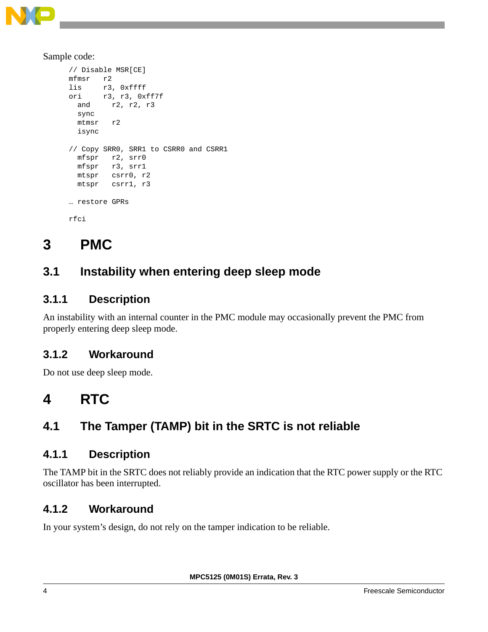

Sample code:

```
// Disable MSR[CE]
mfmsr r2
lis r3, 0xffff
ori r3, r3, 0xff7f
   and r2, r2, r3
   sync
  mtmsr r2
  isync
// Copy SRR0, SRR1 to CSRR0 and CSRR1
   mfspr r2, srr0
   mfspr r3, srr1
  mtspr csrr0, r2
  mtspr csrr1, r3
… restore GPRs
rfci
```
## <span id="page-3-0"></span>**3 PMC**

### <span id="page-3-2"></span>**3.1 Instability when entering deep sleep mode**

#### **3.1.1 Description**

An instability with an internal counter in the PMC module may occasionally prevent the PMC from properly entering deep sleep mode.

#### **3.1.2 Workaround**

Do not use deep sleep mode.

## <span id="page-3-1"></span>**4 RTC**

## <span id="page-3-3"></span>**4.1 The Tamper (TAMP) bit in the SRTC is not reliable**

#### **4.1.1 Description**

The TAMP bit in the SRTC does not reliably provide an indication that the RTC power supply or the RTC oscillator has been interrupted.

#### **4.1.2 Workaround**

In your system's design, do not rely on the tamper indication to be reliable.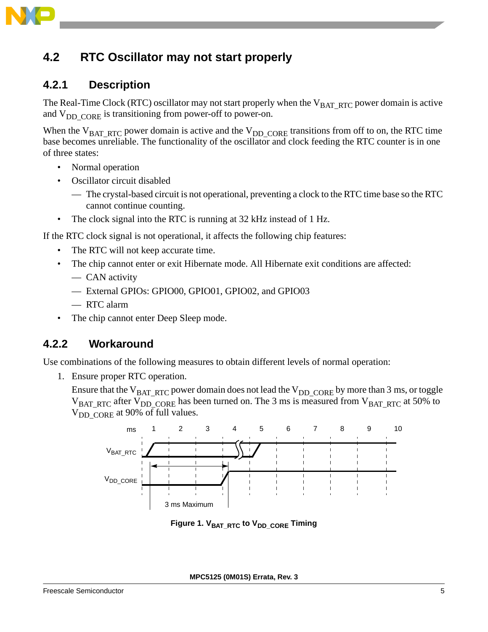

### <span id="page-4-0"></span>**4.2 RTC Oscillator may not start properly**

#### **4.2.1 Description**

The Real-Time Clock (RTC) oscillator may not start properly when the  $V_{BAT-RTC}$  power domain is active and  $V_{DD-CORE}$  is transitioning from power-off to power-on.

When the  $V_{BAT, RTC}$  power domain is active and the  $V_{DD, CORE}$  transitions from off to on, the RTC time base becomes unreliable. The functionality of the oscillator and clock feeding the RTC counter is in one of three states:

- Normal operation
- Oscillator circuit disabled
	- The crystal-based circuit is not operational, preventing a clock to the RTC time base so the RTC cannot continue counting.
- The clock signal into the RTC is running at 32 kHz instead of 1 Hz.

If the RTC clock signal is not operational, it affects the following chip features:

- The RTC will not keep accurate time.
- The chip cannot enter or exit Hibernate mode. All Hibernate exit conditions are affected:
	- CAN activity
	- External GPIOs: GPIO00, GPIO01, GPIO02, and GPIO03
	- RTC alarm
- The chip cannot enter Deep Sleep mode.

#### **4.2.2 Workaround**

Use combinations of the following measures to obtain different levels of normal operation:

1. Ensure proper RTC operation.

Ensure that the  $V_{BAT, RTC}$  power domain does not lead the  $V_{DD, CORE}$  by more than 3 ms, or toggle  $V_{BAT, RTC}$  after  $V_{DD}$  core has been turned on. The 3 ms is measured from  $V_{BAT, RTC}$  at 50% to V<sub>DD\_CORE</sub> at 90% of full values.



Figure 1. V<sub>BAT\_RTC</sub> to V<sub>DD\_CORE</sub> Timing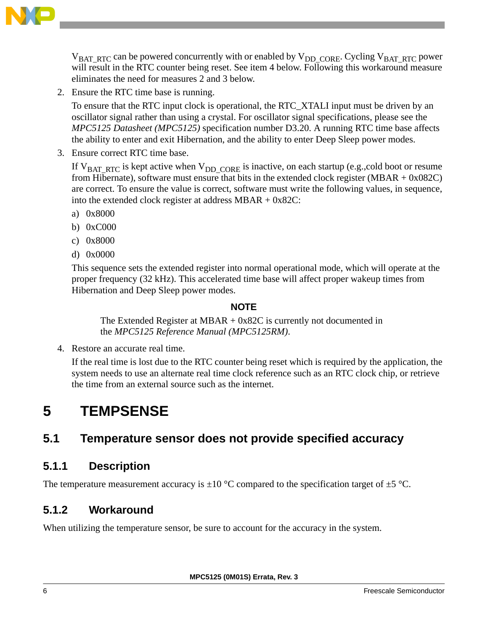

 $V<sub>BAT-RTC</sub>$  can be powered concurrently with or enabled by  $V<sub>DD-CORE</sub>$ . Cycling  $V<sub>BAT-RTC</sub>$  power will result in the RTC counter being reset. See item 4 below. Following this workaround measure eliminates the need for measures 2 and 3 below.

2. Ensure the RTC time base is running.

To ensure that the RTC input clock is operational, the RTC\_XTALI input must be driven by an oscillator signal rather than using a crystal. For oscillator signal specifications, please see the *MPC5125 Datasheet (MPC5125)* specification number D3.20. A running RTC time base affects the ability to enter and exit Hibernation, and the ability to enter Deep Sleep power modes.

3. Ensure correct RTC time base.

If  $V_{BAT, RTC}$  is kept active when  $V_{DD, CORE}$  is inactive, on each startup (e.g.,cold boot or resume from Hibernate), software must ensure that bits in the extended clock register (MBAR  $+$  0x082C) are correct. To ensure the value is correct, software must write the following values, in sequence, into the extended clock register at address MBAR + 0x82C:

- a) 0x8000
- b) 0xC000
- c) 0x8000
- d) 0x0000

This sequence sets the extended register into normal operational mode, which will operate at the proper frequency (32 kHz). This accelerated time base will affect proper wakeup times from Hibernation and Deep Sleep power modes.

#### **NOTE**

The Extended Register at MBAR + 0x82C is currently not documented in the *MPC5125 Reference Manual (MPC5125RM)*.

4. Restore an accurate real time.

If the real time is lost due to the RTC counter being reset which is required by the application, the system needs to use an alternate real time clock reference such as an RTC clock chip, or retrieve the time from an external source such as the internet.

## <span id="page-5-0"></span>**5 TEMPSENSE**

### <span id="page-5-1"></span>**5.1 Temperature sensor does not provide specified accuracy**

#### **5.1.1 Description**

The temperature measurement accuracy is  $\pm 10$  °C compared to the specification target of  $\pm 5$  °C.

#### **5.1.2 Workaround**

When utilizing the temperature sensor, be sure to account for the accuracy in the system.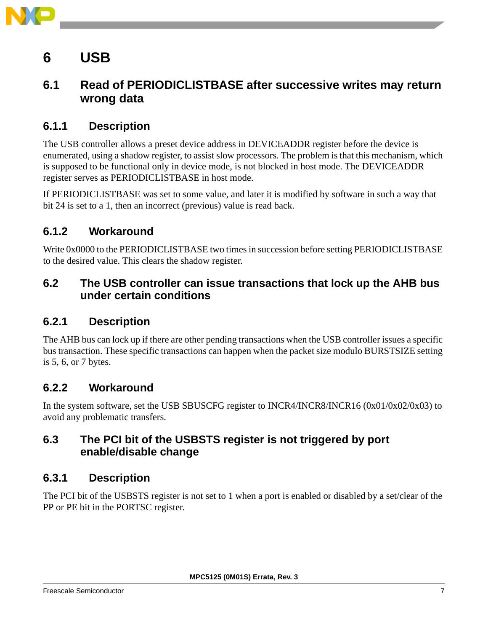

## <span id="page-6-0"></span>**6 USB**

### <span id="page-6-1"></span>**6.1 Read of PERIODICLISTBASE after successive writes may return wrong data**

#### **6.1.1 Description**

The USB controller allows a preset device address in DEVICEADDR register before the device is enumerated, using a shadow register, to assist slow processors. The problem is that this mechanism, which is supposed to be functional only in device mode, is not blocked in host mode. The DEVICEADDR register serves as PERIODICLISTBASE in host mode.

If PERIODICLISTBASE was set to some value, and later it is modified by software in such a way that bit 24 is set to a 1, then an incorrect (previous) value is read back.

#### **6.1.2 Workaround**

Write 0x0000 to the PERIODICLISTBASE two times in succession before setting PERIODICLISTBASE to the desired value. This clears the shadow register.

#### <span id="page-6-2"></span>**6.2 The USB controller can issue transactions that lock up the AHB bus under certain conditions**

#### **6.2.1 Description**

The AHB bus can lock up if there are other pending transactions when the USB controller issues a specific bus transaction. These specific transactions can happen when the packet size modulo BURSTSIZE setting is 5, 6, or 7 bytes.

#### **6.2.2 Workaround**

In the system software, set the USB SBUSCFG register to INCR4/INCR8/INCR16 (0x01/0x02/0x03) to avoid any problematic transfers.

#### <span id="page-6-3"></span>**6.3 The PCI bit of the USBSTS register is not triggered by port enable/disable change**

#### **6.3.1 Description**

The PCI bit of the USBSTS register is not set to 1 when a port is enabled or disabled by a set/clear of the PP or PE bit in the PORTSC register.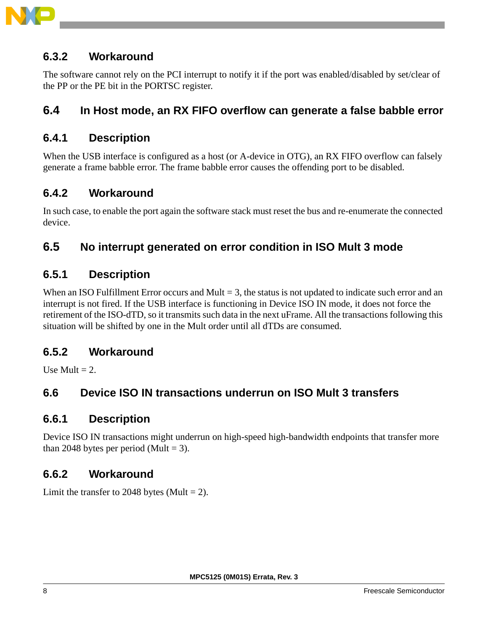

#### **6.3.2 Workaround**

The software cannot rely on the PCI interrupt to notify it if the port was enabled/disabled by set/clear of the PP or the PE bit in the PORTSC register.

#### <span id="page-7-0"></span>**6.4 In Host mode, an RX FIFO overflow can generate a false babble error**

#### **6.4.1 Description**

When the USB interface is configured as a host (or A-device in OTG), an RX FIFO overflow can falsely generate a frame babble error. The frame babble error causes the offending port to be disabled.

#### **6.4.2 Workaround**

In such case, to enable the port again the software stack must reset the bus and re-enumerate the connected device.

#### <span id="page-7-1"></span>**6.5 No interrupt generated on error condition in ISO Mult 3 mode**

#### **6.5.1 Description**

When an ISO Fulfillment Error occurs and Mult  $= 3$ , the status is not updated to indicate such error and an interrupt is not fired. If the USB interface is functioning in Device ISO IN mode, it does not force the retirement of the ISO-dTD, so it transmits such data in the next uFrame. All the transactions following this situation will be shifted by one in the Mult order until all dTDs are consumed.

#### **6.5.2 Workaround**

Use Mult  $= 2$ .

#### <span id="page-7-2"></span>**6.6 Device ISO IN transactions underrun on ISO Mult 3 transfers**

#### **6.6.1 Description**

Device ISO IN transactions might underrun on high-speed high-bandwidth endpoints that transfer more than 2048 bytes per period (Mult = 3).

#### **6.6.2 Workaround**

Limit the transfer to 2048 bytes (Mult  $= 2$ ).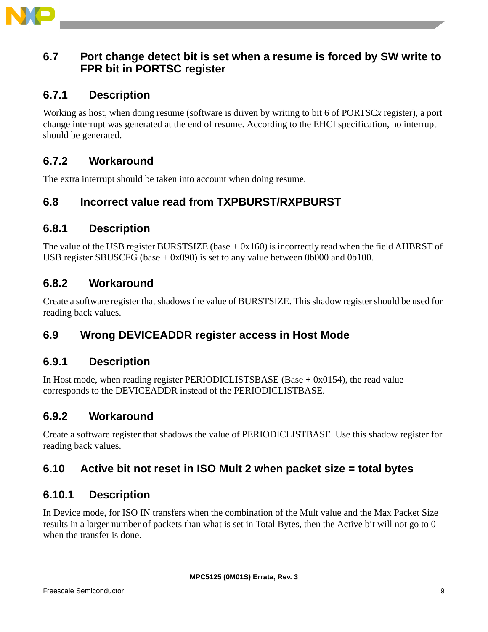

#### <span id="page-8-3"></span>**6.7 Port change detect bit is set when a resume is forced by SW write to FPR bit in PORTSC register**

#### **6.7.1 Description**

Working as host, when doing resume (software is driven by writing to bit 6 of PORTSC*x* register), a port change interrupt was generated at the end of resume. According to the EHCI specification, no interrupt should be generated.

#### **6.7.2 Workaround**

The extra interrupt should be taken into account when doing resume.

#### <span id="page-8-0"></span>**6.8 Incorrect value read from TXPBURST/RXPBURST**

#### **6.8.1 Description**

The value of the USB register BURSTSIZE (base  $+$  0x160) is incorrectly read when the field AHBRST of USB register SBUSCFG (base  $+ 0x090$ ) is set to any value between 0b000 and 0b100.

#### **6.8.2 Workaround**

Create a software register that shadows the value of BURSTSIZE. This shadow register should be used for reading back values.

#### <span id="page-8-1"></span>**6.9 Wrong DEVICEADDR register access in Host Mode**

#### **6.9.1 Description**

In Host mode, when reading register PERIODICLISTSBASE (Base + 0x0154), the read value corresponds to the DEVICEADDR instead of the PERIODICLISTBASE.

#### **6.9.2 Workaround**

Create a software register that shadows the value of PERIODICLISTBASE. Use this shadow register for reading back values.

#### <span id="page-8-2"></span>**6.10 Active bit not reset in ISO Mult 2 when packet size = total bytes**

#### **6.10.1 Description**

In Device mode, for ISO IN transfers when the combination of the Mult value and the Max Packet Size results in a larger number of packets than what is set in Total Bytes, then the Active bit will not go to 0 when the transfer is done.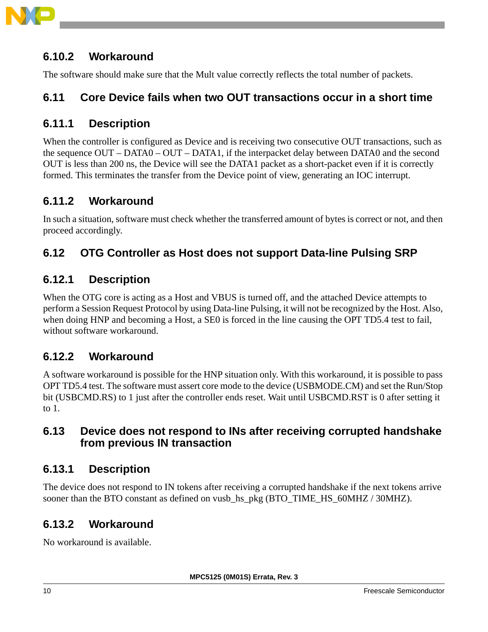

#### **6.10.2 Workaround**

The software should make sure that the Mult value correctly reflects the total number of packets.

#### <span id="page-9-0"></span>**6.11 Core Device fails when two OUT transactions occur in a short time**

#### **6.11.1 Description**

When the controller is configured as Device and is receiving two consecutive OUT transactions, such as the sequence OUT – DATA0 – OUT – DATA1, if the interpacket delay between DATA0 and the second OUT is less than 200 ns, the Device will see the DATA1 packet as a short-packet even if it is correctly formed. This terminates the transfer from the Device point of view, generating an IOC interrupt.

#### **6.11.2 Workaround**

In such a situation, software must check whether the transferred amount of bytes is correct or not, and then proceed accordingly.

### <span id="page-9-1"></span>**6.12 OTG Controller as Host does not support Data-line Pulsing SRP**

#### **6.12.1 Description**

When the OTG core is acting as a Host and VBUS is turned off, and the attached Device attempts to perform a Session Request Protocol by using Data-line Pulsing, it will not be recognized by the Host. Also, when doing HNP and becoming a Host, a SE0 is forced in the line causing the OPT TD5.4 test to fail, without software workaround.

#### **6.12.2 Workaround**

A software workaround is possible for the HNP situation only. With this workaround, it is possible to pass OPT TD5.4 test. The software must assert core mode to the device (USBMODE.CM) and set the Run/Stop bit (USBCMD.RS) to 1 just after the controller ends reset. Wait until USBCMD.RST is 0 after setting it to 1.

#### <span id="page-9-2"></span>**6.13 Device does not respond to INs after receiving corrupted handshake from previous IN transaction**

#### **6.13.1 Description**

The device does not respond to IN tokens after receiving a corrupted handshake if the next tokens arrive sooner than the BTO constant as defined on vusb\_hs\_pkg (BTO\_TIME\_HS\_60MHZ / 30MHZ).

#### **6.13.2 Workaround**

No workaround is available.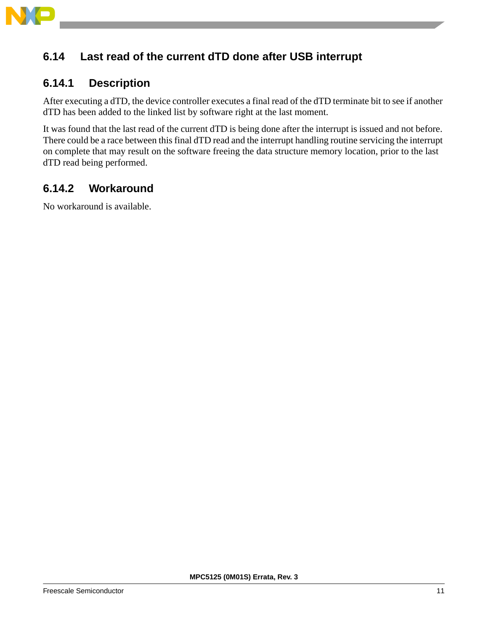

### <span id="page-10-0"></span>**6.14 Last read of the current dTD done after USB interrupt**

#### **6.14.1 Description**

After executing a dTD, the device controller executes a final read of the dTD terminate bit to see if another dTD has been added to the linked list by software right at the last moment.

It was found that the last read of the current dTD is being done after the interrupt is issued and not before. There could be a race between this final dTD read and the interrupt handling routine servicing the interrupt on complete that may result on the software freeing the data structure memory location, prior to the last dTD read being performed.

#### **6.14.2 Workaround**

No workaround is available.